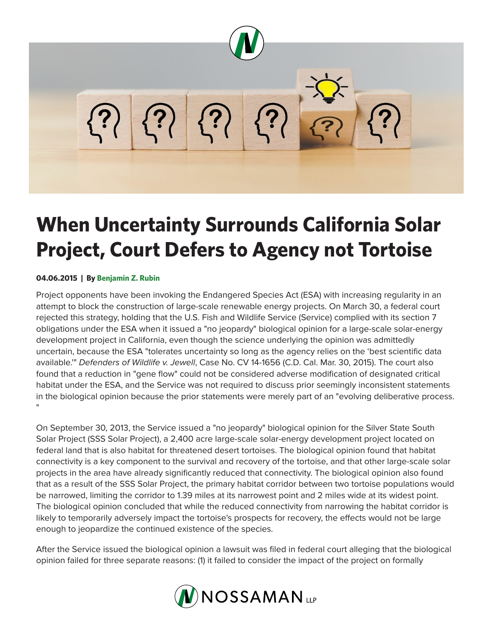

# **When Uncertainty Surrounds California Solar Project, Court Defers to Agency not Tortoise**

# **04.06.2015 | By Benjamin Z. Rubin**

Project opponents have been invoking the Endangered Species Act (ESA) with increasing regularity in an attempt to block the construction of large-scale renewable energy projects. On March 30, a federal court rejected this strategy, holding that the U.S. Fish and Wildlife Service (Service) complied with its section 7 obligations under the ESA when it issued a "no jeopardy" biological opinion for a large-scale solar-energy development project in California, even though the science underlying the opinion was admittedly uncertain, because the ESA "tolerates uncertainty so long as the agency relies on the 'best scientific data available.'" *Defenders of Wildlife v. Jewell*, Case No. CV 14-1656 (C.D. Cal. Mar. 30, 2015). The court also found that a reduction in "gene flow" could not be considered adverse modification of designated critical habitat under the ESA, and the Service was not required to discuss prior seemingly inconsistent statements in the biological opinion because the prior statements were merely part of an "evolving deliberative process. "

On September 30, 2013, the Service issued a "no jeopardy" biological opinion for the Silver State South Solar Project (SSS Solar Project), a 2,400 acre large-scale solar-energy development project located on federal land that is also habitat for threatened desert tortoises. The biological opinion found that habitat connectivity is a key component to the survival and recovery of the tortoise, and that other large-scale solar projects in the area have already significantly reduced that connectivity. The biological opinion also found that as a result of the SSS Solar Project, the primary habitat corridor between two tortoise populations would be narrowed, limiting the corridor to 1.39 miles at its narrowest point and 2 miles wide at its widest point. The biological opinion concluded that while the reduced connectivity from narrowing the habitat corridor is likely to temporarily adversely impact the tortoise's prospects for recovery, the effects would not be large enough to jeopardize the continued existence of the species.

After the Service issued the biological opinion a lawsuit was filed in federal court alleging that the biological opinion failed for three separate reasons: (1) it failed to consider the impact of the project on formally

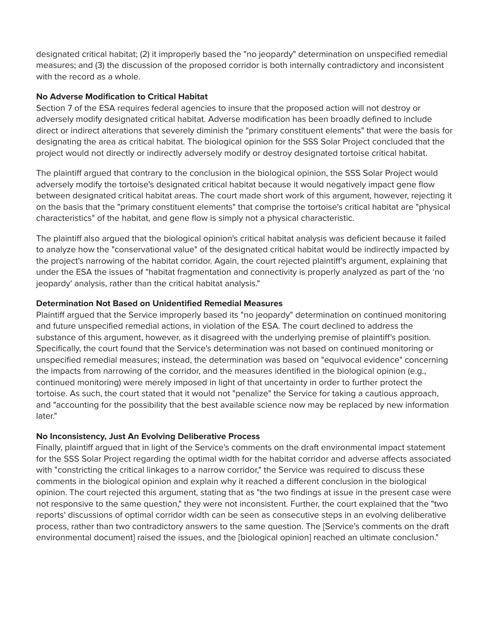designated critical habitat; (2) it improperly based the "no jeopardy" determination on unspecified remedial measures; and (3) the discussion of the proposed corridor is both internally contradictory and inconsistent with the record as a whole.

### **No Adverse Modification to Critical Habitat**

Section 7 of the ESA requires federal agencies to insure that the proposed action will not destroy or adversely modify designated critical habitat. Adverse modification has been broadly defined to include direct or indirect alterations that severely diminish the "primary constituent elements" that were the basis for designating the area as critical habitat. The biological opinion for the SSS Solar Project concluded that the project would not directly or indirectly adversely modify or destroy designated tortoise critical habitat.

The plaintiff argued that contrary to the conclusion in the biological opinion, the SSS Solar Project would adversely modify the tortoise's designated critical habitat because it would negatively impact gene flow between designated critical habitat areas. The court made short work of this argument, however, rejecting it on the basis that the "primary constituent elements" that comprise the tortoise's critical habitat are "physical characteristics" of the habitat, and gene flow is simply not a physical characteristic.

The plaintiff also argued that the biological opinion's critical habitat analysis was deficient because it failed to analyze how the "conservational value" of the designated critical habitat would be indirectly impacted by the project's narrowing of the habitat corridor. Again, the court rejected plaintiff's argument, explaining that under the ESA the issues of "habitat fragmentation and connectivity is properly analyzed as part of the 'no jeopardy' analysis, rather than the critical habitat analysis."

# **Determination Not Based on Unidentified Remedial Measures**

Plaintiff argued that the Service improperly based its "no jeopardy" determination on continued monitoring and future unspecified remedial actions, in violation of the ESA. The court declined to address the substance of this argument, however, as it disagreed with the underlying premise of plaintiff's position. Specifically, the court found that the Service's determination was not based on continued monitoring or unspecified remedial measures; instead, the determination was based on "equivocal evidence" concerning the impacts from narrowing of the corridor, and the measures identified in the biological opinion (e.g., continued monitoring) were merely imposed in light of that uncertainty in order to further protect the tortoise. As such, the court stated that it would not "penalize" the Service for taking a cautious approach, and "accounting for the possibility that the best available science now may be replaced by new information later."

# **No Inconsistency, Just An Evolving Deliberative Process**

Finally, plaintiff argued that in light of the Service's comments on the draft environmental impact statement for the SSS Solar Project regarding the optimal width for the habitat corridor and adverse affects associated with "constricting the critical linkages to a narrow corridor," the Service was required to discuss these comments in the biological opinion and explain why it reached a different conclusion in the biological opinion. The court rejected this argument, stating that as "the two findings at issue in the present case were not responsive to the same question," they were not inconsistent. Further, the court explained that the "two reports' discussions of optimal corridor width can be seen as consecutive steps in an evolving deliberative process, rather than two contradictory answers to the same question. The [Service's comments on the draft environmental document] raised the issues, and the [biological opinion] reached an ultimate conclusion."